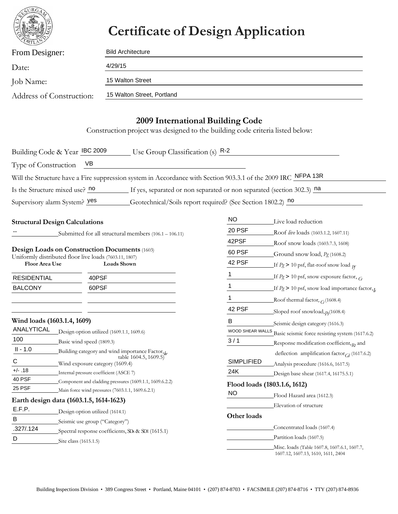

## **Certificate of Design Application**

| From Designer:           | <b>Bild Architecture</b>   |  |  |  |  |
|--------------------------|----------------------------|--|--|--|--|
| Date:                    | 4/29/15                    |  |  |  |  |
| Job Name:                | 15 Walton Street           |  |  |  |  |
| Address of Construction: | 15 Walton Street, Portland |  |  |  |  |
|                          |                            |  |  |  |  |

## **2009 International Building Code**

Construction project was designed to the building code criteria listed below:

| Building Code & Year IBC 2009                                                                         |                                |                                                  | $\frac{1}{2}$ Use Group Classification (s) $\frac{R-2}{2}$                                                    |                                  |                                                       |
|-------------------------------------------------------------------------------------------------------|--------------------------------|--------------------------------------------------|---------------------------------------------------------------------------------------------------------------|----------------------------------|-------------------------------------------------------|
| Type of Construction                                                                                  |                                | VB                                               |                                                                                                               |                                  |                                                       |
|                                                                                                       |                                |                                                  | Will the Structure have a Fire suppression system in Accordance with Section 903.3.1 of the 2009 IRC NFPA 13R |                                  |                                                       |
| Is the Structure mixed use? no                                                                        |                                |                                                  | If yes, separated or non separated or non separated (section 302.3) na                                        |                                  |                                                       |
| Supervisory alarm System? yes                                                                         |                                |                                                  | Geotechnical/Soils report required? (See Section 1802.2) no                                                   |                                  |                                                       |
|                                                                                                       |                                |                                                  |                                                                                                               |                                  |                                                       |
| <b>Structural Design Calculations</b>                                                                 |                                |                                                  | <b>NO</b>                                                                                                     | Live load reduction              |                                                       |
|                                                                                                       |                                |                                                  | Submitted for all structural members (106.1 - 106.11)                                                         | 20 PSF                           | Roof live loads (1603.1.2, 1607.11)                   |
|                                                                                                       |                                |                                                  |                                                                                                               | 42PSF                            | Roof snow loads (1603.7.3, 1608)                      |
| Design Loads on Construction Documents (1603)                                                         |                                |                                                  | 60 PSF                                                                                                        | Ground snow load, $P_g$ (1608.2) |                                                       |
| Uniformly distributed floor live loads (7603.11, 1807)<br><b>Floor Area Use</b><br><b>Loads Shown</b> |                                | 42 PSF                                           | If $Pg > 10$ psf, flat-roof snow load $p_f$                                                                   |                                  |                                                       |
| <b>RESIDENTIAL</b>                                                                                    |                                | 40PSF                                            |                                                                                                               | 1                                | If $Pg > 10$ psf, snow exposure factor, $G$           |
| <b>BALCONY</b>                                                                                        |                                | 60PSF                                            |                                                                                                               | 1                                | If $P_g > 10$ psf, snow load importance factor, $I_c$ |
|                                                                                                       |                                |                                                  |                                                                                                               | 1                                | Roof thermal factor, $\epsilon_1$ (1608.4)            |
|                                                                                                       |                                |                                                  |                                                                                                               | 42 PSF                           | Sloped roof snowload, $p_f(1608.4)$                   |
| Wind loads (1603.1.4, 1609)                                                                           |                                |                                                  | B                                                                                                             | Seismic design category (1616.3) |                                                       |
| ANALYTICAL                                                                                            |                                | Design option utilized (1609.1.1, 1609.6)        |                                                                                                               | WOOD SHEAR WALLS                 | Basic seismic force resisting system (1617.6.2)       |
| 100                                                                                                   |                                | Basic wind speed (1809.3)                        |                                                                                                               | 3/1                              | Response modification coefficient, $R_1$ and          |
| $II - 1.0$<br>Building category and wind importance Factor, by                                        |                                |                                                  | deflection amplification factor $C_d$ (1617.6.2)                                                              |                                  |                                                       |
| $\mathbf C$                                                                                           |                                | Wind exposure category (1609.4)                  | table 1604.5, 1609.5)                                                                                         | <b>SIMPLIFIED</b>                | Analysis procedure (1616.6, 1617.5)                   |
| $+/- .18$                                                                                             |                                | Internal pressure coefficient (ASCE 7)           |                                                                                                               | 24K                              | Design base shear (1617.4, 16175.5.1)                 |
| 40 PSF                                                                                                |                                |                                                  | Component and cladding pressures (1609.1.1, 1609.6.2.2)                                                       |                                  | Flood loads (1803.1.6, 1612)                          |
| 25 PSF                                                                                                |                                | Main force wind pressures (7603.1.1, 1609.6.2.1) |                                                                                                               | NO                               | Flood Hazard area (1612.3)                            |
| Earth design data (1603.1.5, 1614-1623)                                                               |                                |                                                  |                                                                                                               |                                  | Elevation of structure                                |
| E.F.P.                                                                                                |                                | Design option utilized (1614.1)                  |                                                                                                               |                                  |                                                       |
| B                                                                                                     | Seismic use group ("Category") |                                                  | Other loads                                                                                                   |                                  |                                                       |
| .327/.124<br>Spectral response coefficients, SDs & SD1 (1615.1)                                       |                                |                                                  | Concentrated loads (1607.4)                                                                                   |                                  |                                                       |
| D                                                                                                     | Site class (1615.1.5)          |                                                  |                                                                                                               |                                  | Partition loads (1607.5)                              |

Misc. loads (Table 1607.8, 1607.6.1, 1607.7, 1607.12, 1607.13, 1610, 1611, 2404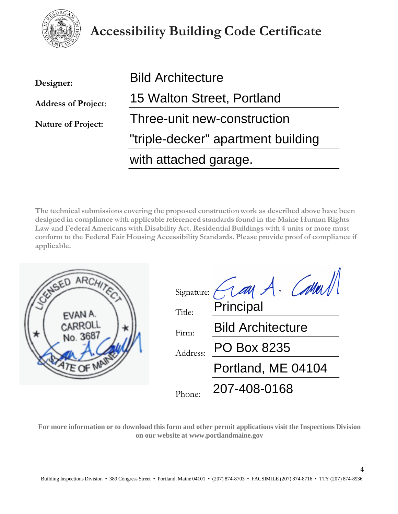

## **Accessibility Building Code Certificate**

| Designer:                  | <b>Bild Architecture</b>           |  |  |
|----------------------------|------------------------------------|--|--|
| <b>Address of Project:</b> | 15 Walton Street, Portland         |  |  |
| <b>Nature of Project:</b>  | Three-unit new-construction        |  |  |
|                            | "triple-decker" apartment building |  |  |
|                            | with attached garage.              |  |  |

**The technical submissions covering the proposed construction work as described above have been designed in compliance with applicable referenced standards found in the Maine Human Rights Law and Federal Americans with Disability Act. Residential Buildings with 4 units or more must conform to the Federal Fair Housing Accessibility Standards. Please provide proof of compliance if applicable.**

| JSEL     | Signature: (1au A. Called)<br>Principal                    |
|----------|------------------------------------------------------------|
| No. 368. | Title:<br><b>Bild Architecture</b><br>Firm:<br>PO Box 8235 |
|          | Address:<br>Portland, ME 04104                             |
|          | 207-408-0168<br>Phone:                                     |

**For more information or to download this form and other permit applications visit the Inspections Division on our website at [www.portlandmaine.gov](http://www.portlandmaine.gov/)**

**4**